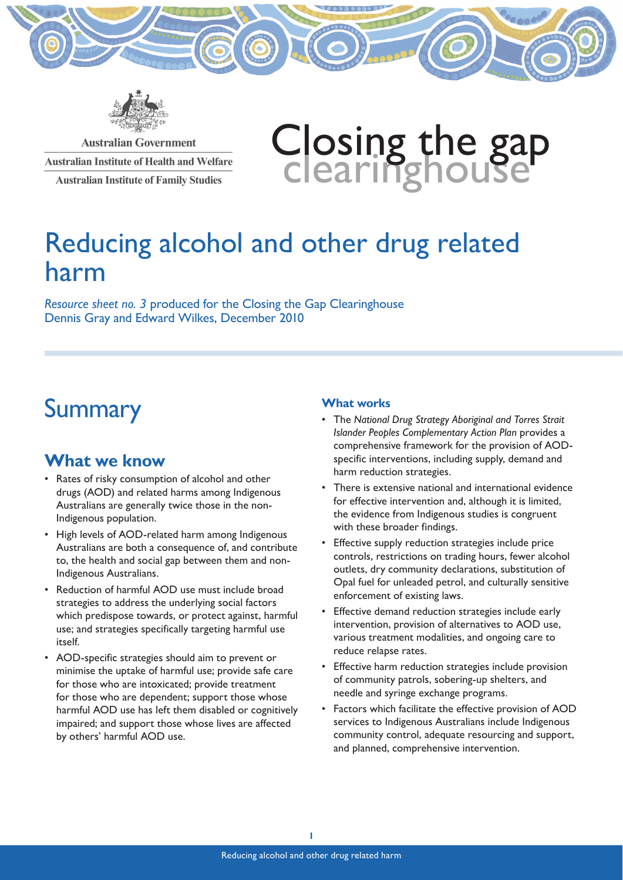

**Australian Government Australian Institute of Health and Welfare Australian Institute of Family Studies** 

# Closing the gap<br>clearinghouse

# Reducing alcohol and other drug related harm

*Resource sheet no. 3* produced for the Closing the Gap Clearinghouse Dennis Gray and Edward Wilkes, December 2010

# **Summary**

## **What we know**

- Rates of risky consumption of alcohol and other drugs (AOD) and related harms among Indigenous Australians are generally twice those in the non-Indigenous population.
- High levels of AOD-related harm among Indigenous Australians are both a consequence of, and contribute to, the health and social gap between them and non-Indigenous Australians.
- Reduction of harmful AOD use must include broad strategies to address the underlying social factors which predispose towards, or protect against, harmful use; and strategies specifically targeting harmful use itself.
- AOD-specific strategies should aim to prevent or minimise the uptake of harmful use; provide safe care for those who are intoxicated; provide treatment for those who are dependent; support those whose harmful AOD use has left them disabled or cognitively impaired; and support those whose lives are affected by others' harmful AOD use.

## **What works**

- The *National Drug Strategy Aboriginal and Torres Strait Islander Peoples Complementary Action Plan* provides a comprehensive framework for the provision of AODspecific interventions, including supply, demand and harm reduction strategies.
- There is extensive national and international evidence for effective intervention and, although it is limited, the evidence from Indigenous studies is congruent with these broader findings.
- Effective supply reduction strategies include price controls, restrictions on trading hours, fewer alcohol outlets, dry community declarations, substitution of Opal fuel for unleaded petrol, and culturally sensitive enforcement of existing laws.
- Effective demand reduction strategies include early intervention, provision of alternatives to AOD use, various treatment modalities, and ongoing care to reduce relapse rates.
- Effective harm reduction strategies include provision of community patrols, sobering-up shelters, and needle and syringe exchange programs.
- Factors which facilitate the effective provision of AOD services to Indigenous Australians include Indigenous community control, adequate resourcing and support, and planned, comprehensive intervention.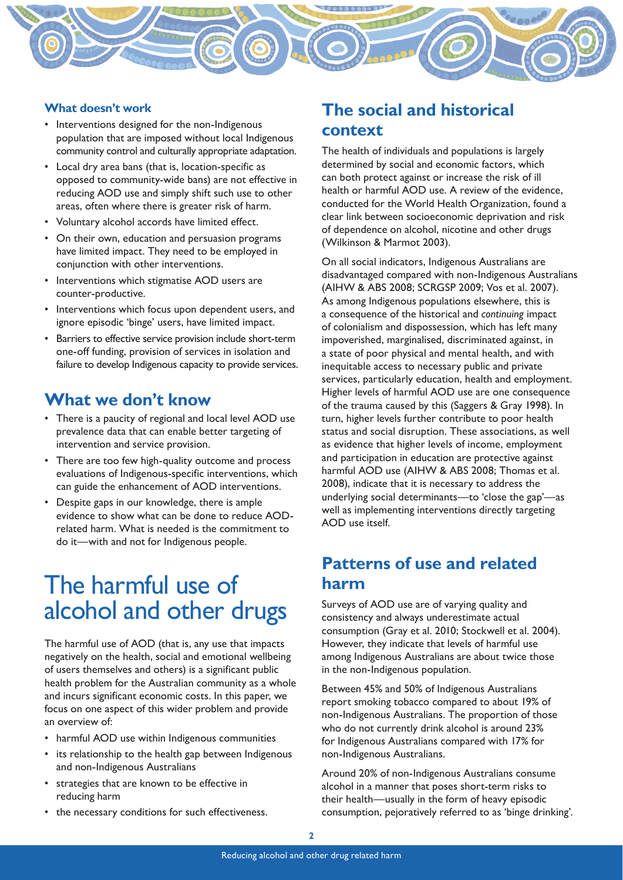

## **What doesn't work**

- Interventions designed for the non-Indigenous population that are imposed without local Indigenous community control and culturally appropriate adaptation.
- Local dry area bans (that is, location-specific as opposed to community-wide bans) are not effective in reducing AOD use and simply shift such use to other areas, often where there is greater risk of harm.
- Voluntary alcohol accords have limited effect.
- On their own, education and persuasion programs have limited impact. They need to be employed in conjunction with other interventions.
- Interventions which stigmatise AOD users are counter-productive.
- Interventions which focus upon dependent users, and ignore episodic 'binge' users, have limited impact.
- Barriers to effective service provision include short-term one-off funding, provision of services in isolation and failure to develop Indigenous capacity to provide services.

## **What we don't know**

- There is a paucity of regional and local level AOD use prevalence data that can enable better targeting of intervention and service provision.
- There are too few high-quality outcome and process evaluations of Indigenous-specific interventions, which can guide the enhancement of AOD interventions.
- Despite gaps in our knowledge, there is ample evidence to show what can be done to reduce AODrelated harm. What is needed is the commitment to do it—with and not for Indigenous people.

# The harmful use of alcohol and other drugs

The harmful use of AOD (that is, any use that impacts negatively on the health, social and emotional wellbeing of users themselves and others) is a significant public health problem for the Australian community as a whole and incurs significant economic costs. In this paper, we focus on one aspect of this wider problem and provide an overview of:

- harmful AOD use within Indigenous communities
- its relationship to the health gap between Indigenous and non-Indigenous Australians
- strategies that are known to be effective in reducing harm
- the necessary conditions for such effectiveness.

## **The social and historical context**

The health of individuals and populations is largely determined by social and economic factors, which can both protect against or increase the risk of ill health or harmful AOD use. A review of the evidence, conducted for the World Health Organization, found a clear link between socioeconomic deprivation and risk of dependence on alcohol, nicotine and other drugs (Wilkinson & Marmot 2003).

On all social indicators, Indigenous Australians are disadvantaged compared with non-Indigenous Australians (AIHW & ABS 2008; SCRGSP 2009; Vos et al. 2007). As among Indigenous populations elsewhere, this is a consequence of the historical and *continuing* impact of colonialism and dispossession, which has left many impoverished, marginalised, discriminated against, in a state of poor physical and mental health, and with inequitable access to necessary public and private services, particularly education, health and employment. Higher levels of harmful AOD use are one consequence of the trauma caused by this (Saggers & Gray 1998). In turn, higher levels further contribute to poor health status and social disruption. These associations, as well as evidence that higher levels of income, employment and participation in education are protective against harmful AOD use (AIHW & ABS 2008; Thomas et al. 2008), indicate that it is necessary to address the underlying social determinants—to 'close the gap'—as well as implementing interventions directly targeting AOD use itself.

## **Patterns of use and related harm**

Surveys of AOD use are of varying quality and consistency and always underestimate actual consumption (Gray et al. 2010; Stockwell et al. 2004). However, they indicate that levels of harmful use among Indigenous Australians are about twice those in the non-Indigenous population.

Between 45% and 50% of Indigenous Australians report smoking tobacco compared to about 19% of non-Indigenous Australians. The proportion of those who do not currently drink alcohol is around 23% for Indigenous Australians compared with 17% for non-Indigenous Australians.

Around 20% of non-Indigenous Australians consume alcohol in a manner that poses short-term risks to their health—usually in the form of heavy episodic consumption, pejoratively referred to as 'binge drinking'.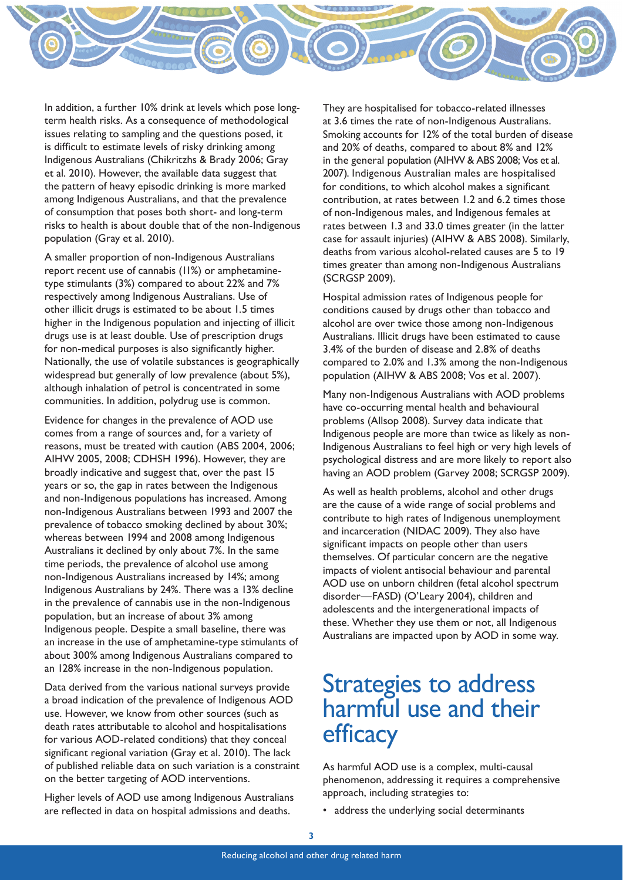

In addition, a further 10% drink at levels which pose longterm health risks. As a consequence of methodological issues relating to sampling and the questions posed, it is difficult to estimate levels of risky drinking among Indigenous Australians (Chikritzhs & Brady 2006; Gray et al. 2010). However, the available data suggest that the pattern of heavy episodic drinking is more marked among Indigenous Australians, and that the prevalence of consumption that poses both short- and long-term risks to health is about double that of the non-Indigenous population (Gray et al. 2010).

A smaller proportion of non-Indigenous Australians report recent use of cannabis (11%) or amphetaminetype stimulants (3%) compared to about 22% and 7% respectively among Indigenous Australians. Use of other illicit drugs is estimated to be about 1.5 times higher in the Indigenous population and injecting of illicit drugs use is at least double. Use of prescription drugs for non-medical purposes is also significantly higher. Nationally, the use of volatile substances is geographically widespread but generally of low prevalence (about 5%), although inhalation of petrol is concentrated in some communities. In addition, polydrug use is common.

Evidence for changes in the prevalence of AOD use comes from a range of sources and, for a variety of reasons, must be treated with caution (ABS 2004, 2006; AIHW 2005, 2008; CDHSH 1996). However, they are broadly indicative and suggest that, over the past 15 years or so, the gap in rates between the Indigenous and non-Indigenous populations has increased. Among non-Indigenous Australians between 1993 and 2007 the prevalence of tobacco smoking declined by about 30%; whereas between 1994 and 2008 among Indigenous Australians it declined by only about 7%. In the same time periods, the prevalence of alcohol use among non-Indigenous Australians increased by 14%; among Indigenous Australians by 24%. There was a 13% decline in the prevalence of cannabis use in the non-Indigenous population, but an increase of about 3% among Indigenous people. Despite a small baseline, there was an increase in the use of amphetamine-type stimulants of about 300% among Indigenous Australians compared to an 128% increase in the non-Indigenous population.

Data derived from the various national surveys provide a broad indication of the prevalence of Indigenous AOD use. However, we know from other sources (such as death rates attributable to alcohol and hospitalisations for various AOD-related conditions) that they conceal significant regional variation (Gray et al. 2010). The lack of published reliable data on such variation is a constraint on the better targeting of AOD interventions.

Higher levels of AOD use among Indigenous Australians are reflected in data on hospital admissions and deaths.

They are hospitalised for tobacco-related illnesses at 3.6 times the rate of non-Indigenous Australians. Smoking accounts for 12% of the total burden of disease and 20% of deaths, compared to about 8% and 12% in the general population (AIHW & ABS 2008; Vos et al. 2007). Indigenous Australian males are hospitalised for conditions, to which alcohol makes a significant contribution, at rates between 1.2 and 6.2 times those of non-Indigenous males, and Indigenous females at rates between 1.3 and 33.0 times greater (in the latter case for assault injuries) (AIHW & ABS 2008). Similarly, deaths from various alcohol-related causes are 5 to 19 times greater than among non-Indigenous Australians (SCRGSP 2009).

Hospital admission rates of Indigenous people for conditions caused by drugs other than tobacco and alcohol are over twice those among non-Indigenous Australians. Illicit drugs have been estimated to cause 3.4% of the burden of disease and 2.8% of deaths compared to 2.0% and 1.3% among the non-Indigenous population (AIHW & ABS 2008; Vos et al. 2007).

Many non-Indigenous Australians with AOD problems have co-occurring mental health and behavioural problems (Allsop 2008). Survey data indicate that Indigenous people are more than twice as likely as non-Indigenous Australians to feel high or very high levels of psychological distress and are more likely to report also having an AOD problem (Garvey 2008; SCRGSP 2009).

As well as health problems, alcohol and other drugs are the cause of a wide range of social problems and contribute to high rates of Indigenous unemployment and incarceration (NIDAC 2009). They also have significant impacts on people other than users themselves. Of particular concern are the negative impacts of violent antisocial behaviour and parental AOD use on unborn children (fetal alcohol spectrum disorder—FASD) (O'Leary 2004), children and adolescents and the intergenerational impacts of these. Whether they use them or not, all Indigenous Australians are impacted upon by AOD in some way.

# Strategies to address harmful use and their efficacy

As harmful AOD use is a complex, multi-causal phenomenon, addressing it requires a comprehensive approach, including strategies to:

address the underlying social determinants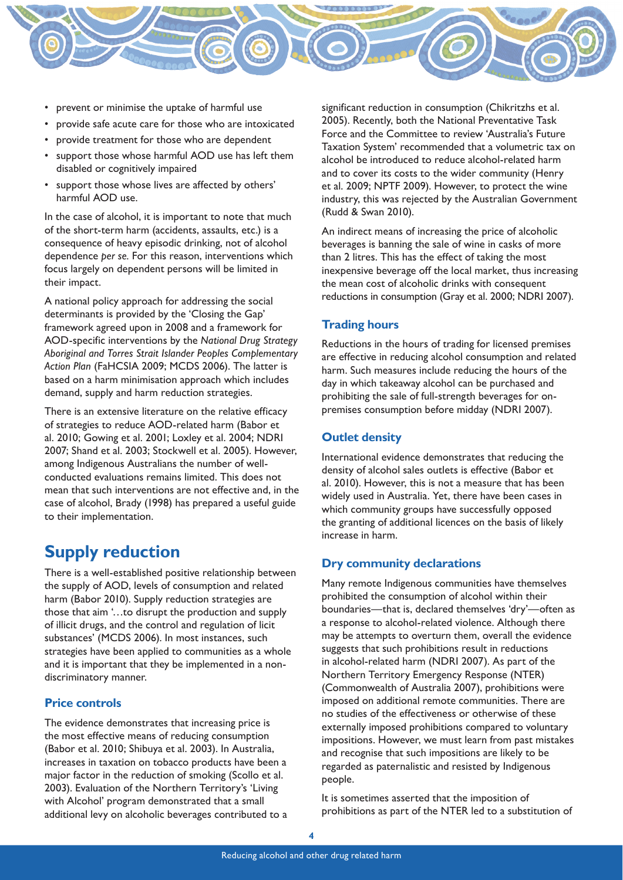

- prevent or minimise the uptake of harmful use
- provide safe acute care for those who are intoxicated
- provide treatment for those who are dependent
- support those whose harmful AOD use has left them disabled or cognitively impaired
- support those whose lives are affected by others' harmful AOD use.

In the case of alcohol, it is important to note that much of the short-term harm (accidents, assaults, etc.) is a consequence of heavy episodic drinking, not of alcohol dependence *per se.* For this reason, interventions which focus largely on dependent persons will be limited in their impact.

A national policy approach for addressing the social determinants is provided by the 'Closing the Gap' framework agreed upon in 2008 and a framework for AOD-specific interventions by the *National Drug Strategy Aboriginal and Torres Strait Islander Peoples Complementary Action Plan* (FaHCSIA 2009; MCDS 2006). The latter is based on a harm minimisation approach which includes demand, supply and harm reduction strategies.

There is an extensive literature on the relative efficacy of strategies to reduce AOD-related harm (Babor et al. 2010; Gowing et al. 2001; Loxley et al. 2004; NDRI 2007; Shand et al. 2003; Stockwell et al. 2005). However, among Indigenous Australians the number of wellconducted evaluations remains limited. This does not mean that such interventions are not effective and, in the case of alcohol, Brady (1998) has prepared a useful guide to their implementation.

## **Supply reduction**

There is a well-established positive relationship between the supply of AOD, levels of consumption and related harm (Babor 2010). Supply reduction strategies are those that aim '…to disrupt the production and supply of illicit drugs, and the control and regulation of licit substances' (MCDS 2006). In most instances, such strategies have been applied to communities as a whole and it is important that they be implemented in a nondiscriminatory manner.

#### **Price controls**

The evidence demonstrates that increasing price is the most effective means of reducing consumption (Babor et al. 2010; Shibuya et al. 2003). In Australia, increases in taxation on tobacco products have been a major factor in the reduction of smoking (Scollo et al. 2003). Evaluation of the Northern Territory's 'Living with Alcohol' program demonstrated that a small additional levy on alcoholic beverages contributed to a significant reduction in consumption (Chikritzhs et al. 2005). Recently, both the National Preventative Task Force and the Committee to review 'Australia's Future Taxation System' recommended that a volumetric tax on alcohol be introduced to reduce alcohol-related harm and to cover its costs to the wider community (Henry et al. 2009; NPTF 2009). However, to protect the wine industry, this was rejected by the Australian Government (Rudd & Swan 2010).

An indirect means of increasing the price of alcoholic beverages is banning the sale of wine in casks of more than 2 litres. This has the effect of taking the most inexpensive beverage off the local market, thus increasing the mean cost of alcoholic drinks with consequent reductions in consumption (Gray et al. 2000; NDRI 2007).

## **Trading hours**

Reductions in the hours of trading for licensed premises are effective in reducing alcohol consumption and related harm. Such measures include reducing the hours of the day in which takeaway alcohol can be purchased and prohibiting the sale of full-strength beverages for onpremises consumption before midday (NDRI 2007).

## **Outlet density**

International evidence demonstrates that reducing the density of alcohol sales outlets is effective (Babor et al. 2010). However, this is not a measure that has been widely used in Australia. Yet, there have been cases in which community groups have successfully opposed the granting of additional licences on the basis of likely increase in harm.

## **Dry community declarations**

Many remote Indigenous communities have themselves prohibited the consumption of alcohol within their boundaries—that is, declared themselves 'dry'—often as a response to alcohol-related violence. Although there may be attempts to overturn them, overall the evidence suggests that such prohibitions result in reductions in alcohol-related harm (NDRI 2007). As part of the Northern Territory Emergency Response (NTER) (Commonwealth of Australia 2007), prohibitions were imposed on additional remote communities. There are no studies of the effectiveness or otherwise of these externally imposed prohibitions compared to voluntary impositions. However, we must learn from past mistakes and recognise that such impositions are likely to be regarded as paternalistic and resisted by Indigenous people.

It is sometimes asserted that the imposition of prohibitions as part of the NTER led to a substitution of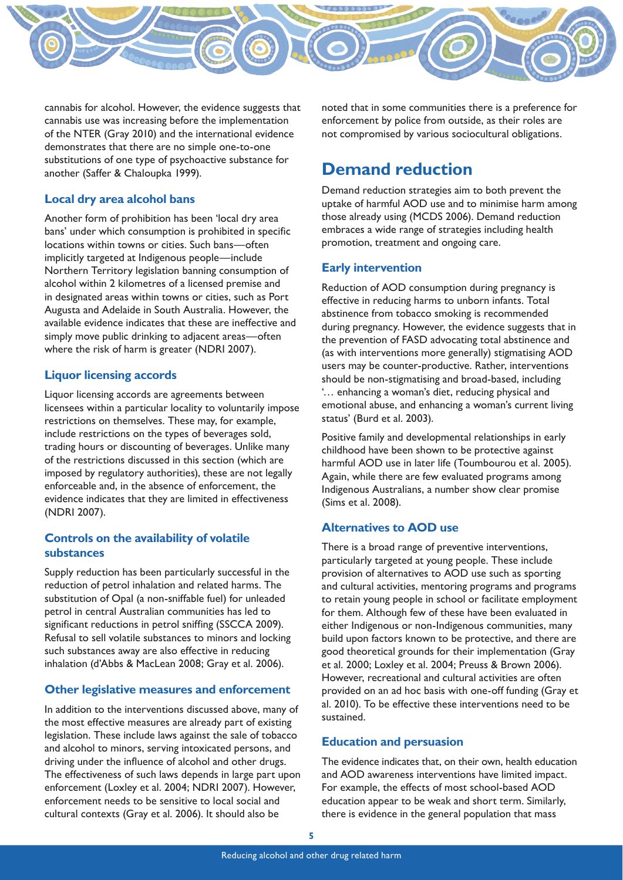

cannabis for alcohol. However, the evidence suggests that cannabis use was increasing before the implementation of the NTER (Gray 2010) and the international evidence demonstrates that there are no simple one-to-one substitutions of one type of psychoactive substance for another (Saffer & Chaloupka 1999).

## **Local dry area alcohol bans**

Another form of prohibition has been 'local dry area bans' under which consumption is prohibited in specific locations within towns or cities. Such bans—often implicitly targeted at Indigenous people—include Northern Territory legislation banning consumption of alcohol within 2 kilometres of a licensed premise and in designated areas within towns or cities, such as Port Augusta and Adelaide in South Australia. However, the available evidence indicates that these are ineffective and simply move public drinking to adjacent areas—often where the risk of harm is greater (NDRI 2007).

## **Liquor licensing accords**

Liquor licensing accords are agreements between licensees within a particular locality to voluntarily impose restrictions on themselves. These may, for example, include restrictions on the types of beverages sold, trading hours or discounting of beverages. Unlike many of the restrictions discussed in this section (which are imposed by regulatory authorities), these are not legally enforceable and, in the absence of enforcement, the evidence indicates that they are limited in effectiveness (NDRI 2007).

## **Controls on the availability of volatile substances**

Supply reduction has been particularly successful in the reduction of petrol inhalation and related harms. The substitution of Opal (a non-sniffable fuel) for unleaded petrol in central Australian communities has led to significant reductions in petrol sniffing (SSCCA 2009). Refusal to sell volatile substances to minors and locking such substances away are also effective in reducing inhalation (d'Abbs & MacLean 2008; Gray et al. 2006).

## **Other legislative measures and enforcement**

In addition to the interventions discussed above, many of the most effective measures are already part of existing legislation. These include laws against the sale of tobacco and alcohol to minors, serving intoxicated persons, and driving under the influence of alcohol and other drugs. The effectiveness of such laws depends in large part upon enforcement (Loxley et al. 2004; NDRI 2007). However, enforcement needs to be sensitive to local social and cultural contexts (Gray et al. 2006). It should also be

noted that in some communities there is a preference for enforcement by police from outside, as their roles are not compromised by various sociocultural obligations.

## **Demand reduction**

Demand reduction strategies aim to both prevent the uptake of harmful AOD use and to minimise harm among those already using (MCDS 2006). Demand reduction embraces a wide range of strategies including health promotion, treatment and ongoing care.

## **Early intervention**

Reduction of AOD consumption during pregnancy is effective in reducing harms to unborn infants. Total abstinence from tobacco smoking is recommended during pregnancy. However, the evidence suggests that in the prevention of FASD advocating total abstinence and (as with interventions more generally) stigmatising AOD users may be counter-productive. Rather, interventions should be non-stigmatising and broad-based, including '… enhancing a woman's diet, reducing physical and emotional abuse, and enhancing a woman's current living status' (Burd et al. 2003).

Positive family and developmental relationships in early childhood have been shown to be protective against harmful AOD use in later life (Toumbourou et al. 2005). Again, while there are few evaluated programs among Indigenous Australians, a number show clear promise (Sims et al. 2008).

## **Alternatives to AOD use**

There is a broad range of preventive interventions, particularly targeted at young people. These include provision of alternatives to AOD use such as sporting and cultural activities, mentoring programs and programs to retain young people in school or facilitate employment for them. Although few of these have been evaluated in either Indigenous or non-Indigenous communities, many build upon factors known to be protective, and there are good theoretical grounds for their implementation (Gray et al. 2000; Loxley et al. 2004; Preuss & Brown 2006). However, recreational and cultural activities are often provided on an ad hoc basis with one-off funding (Gray et al. 2010). To be effective these interventions need to be sustained.

## **Education and persuasion**

The evidence indicates that, on their own, health education and AOD awareness interventions have limited impact. For example, the effects of most school-based AOD education appear to be weak and short term. Similarly, there is evidence in the general population that mass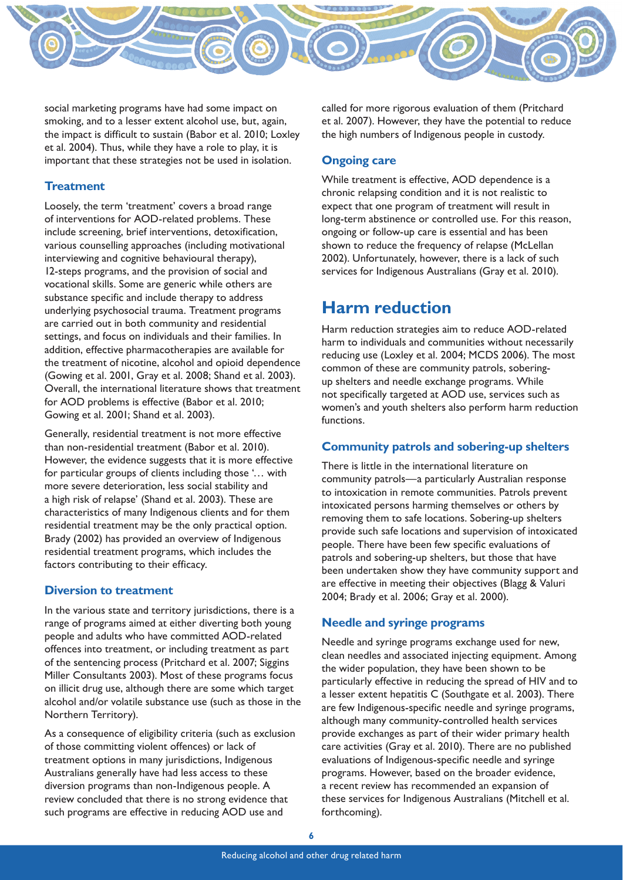

social marketing programs have had some impact on smoking, and to a lesser extent alcohol use, but, again, the impact is difficult to sustain (Babor et al. 2010; Loxley et al. 2004). Thus, while they have a role to play, it is important that these strategies not be used in isolation.

## **Treatment**

Loosely, the term 'treatment' covers a broad range of interventions for AOD-related problems. These include screening, brief interventions, detoxification, various counselling approaches (including motivational interviewing and cognitive behavioural therapy), 12-steps programs, and the provision of social and vocational skills. Some are generic while others are substance specific and include therapy to address underlying psychosocial trauma. Treatment programs are carried out in both community and residential settings, and focus on individuals and their families. In addition, effective pharmacotherapies are available for the treatment of nicotine, alcohol and opioid dependence (Gowing et al. 2001, Gray et al. 2008; Shand et al. 2003). Overall, the international literature shows that treatment for AOD problems is effective (Babor et al. 2010; Gowing et al. 2001; Shand et al. 2003).

Generally, residential treatment is not more effective than non-residential treatment (Babor et al. 2010). However, the evidence suggests that it is more effective for particular groups of clients including those '… with more severe deterioration, less social stability and a high risk of relapse' (Shand et al. 2003). These are characteristics of many Indigenous clients and for them residential treatment may be the only practical option. Brady (2002) has provided an overview of Indigenous residential treatment programs, which includes the factors contributing to their efficacy.

## **Diversion to treatment**

In the various state and territory jurisdictions, there is a range of programs aimed at either diverting both young people and adults who have committed AOD-related offences into treatment, or including treatment as part of the sentencing process (Pritchard et al. 2007; Siggins Miller Consultants 2003). Most of these programs focus on illicit drug use, although there are some which target alcohol and/or volatile substance use (such as those in the Northern Territory).

As a consequence of eligibility criteria (such as exclusion of those committing violent offences) or lack of treatment options in many jurisdictions, Indigenous Australians generally have had less access to these diversion programs than non-Indigenous people. A review concluded that there is no strong evidence that such programs are effective in reducing AOD use and

called for more rigorous evaluation of them (Pritchard et al. 2007). However, they have the potential to reduce the high numbers of Indigenous people in custody.

## **Ongoing care**

While treatment is effective, AOD dependence is a chronic relapsing condition and it is not realistic to expect that one program of treatment will result in long-term abstinence or controlled use. For this reason, ongoing or follow-up care is essential and has been shown to reduce the frequency of relapse (McLellan 2002). Unfortunately, however, there is a lack of such services for Indigenous Australians (Gray et al. 2010).

## **Harm reduction**

Harm reduction strategies aim to reduce AOD-related harm to individuals and communities without necessarily reducing use (Loxley et al. 2004; MCDS 2006). The most common of these are community patrols, soberingup shelters and needle exchange programs. While not specifically targeted at AOD use, services such as women's and youth shelters also perform harm reduction functions.

## **Community patrols and sobering-up shelters**

There is little in the international literature on community patrols—a particularly Australian response to intoxication in remote communities. Patrols prevent intoxicated persons harming themselves or others by removing them to safe locations. Sobering-up shelters provide such safe locations and supervision of intoxicated people. There have been few specific evaluations of patrols and sobering-up shelters, but those that have been undertaken show they have community support and are effective in meeting their objectives (Blagg & Valuri 2004; Brady et al. 2006; Gray et al. 2000).

## **Needle and syringe programs**

Needle and syringe programs exchange used for new, clean needles and associated injecting equipment. Among the wider population, they have been shown to be particularly effective in reducing the spread of HIV and to a lesser extent hepatitis C (Southgate et al. 2003). There are few Indigenous-specific needle and syringe programs, although many community-controlled health services provide exchanges as part of their wider primary health care activities (Gray et al. 2010). There are no published evaluations of Indigenous-specific needle and syringe programs. However, based on the broader evidence, a recent review has recommended an expansion of these services for Indigenous Australians (Mitchell et al. forthcoming).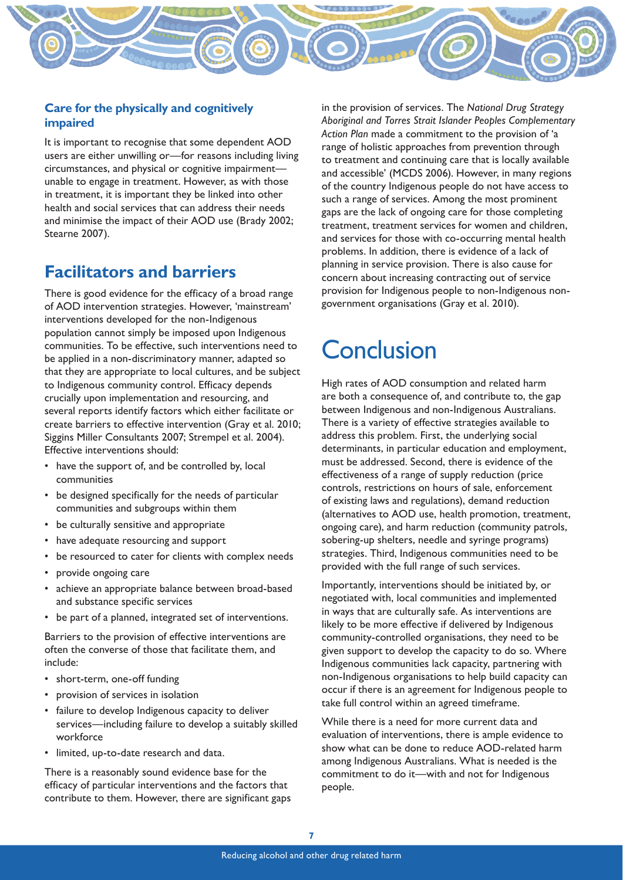## **Care for the physically and cognitively impaired**

It is important to recognise that some dependent AOD users are either unwilling or—for reasons including living circumstances, and physical or cognitive impairment unable to engage in treatment. However, as with those in treatment, it is important they be linked into other health and social services that can address their needs and minimise the impact of their AOD use (Brady 2002; Stearne 2007).

## **Facilitators and barriers**

There is good evidence for the efficacy of a broad range of AOD intervention strategies. However, 'mainstream' interventions developed for the non-Indigenous population cannot simply be imposed upon Indigenous communities. To be effective, such interventions need to be applied in a non-discriminatory manner, adapted so that they are appropriate to local cultures, and be subject to Indigenous community control. Efficacy depends crucially upon implementation and resourcing, and several reports identify factors which either facilitate or create barriers to effective intervention (Gray et al. 2010; Siggins Miller Consultants 2007; Strempel et al. 2004). Effective interventions should:

- have the support of, and be controlled by, local communities
- be designed specifically for the needs of particular communities and subgroups within them
- be culturally sensitive and appropriate
- have adequate resourcing and support
- be resourced to cater for clients with complex needs
- provide ongoing care
- achieve an appropriate balance between broad-based and substance specific services
- be part of a planned, integrated set of interventions.

Barriers to the provision of effective interventions are often the converse of those that facilitate them, and include:

- short-term, one-off funding
- provision of services in isolation
- failure to develop Indigenous capacity to deliver services—including failure to develop a suitably skilled workforce
- limited, up-to-date research and data.

There is a reasonably sound evidence base for the efficacy of particular interventions and the factors that contribute to them. However, there are significant gaps

in the provision of services. The *National Drug Strategy Aboriginal and Torres Strait Islander Peoples Complementary Action Plan* made a commitment to the provision of 'a range of holistic approaches from prevention through to treatment and continuing care that is locally available and accessible' (MCDS 2006). However, in many regions of the country Indigenous people do not have access to such a range of services. Among the most prominent gaps are the lack of ongoing care for those completing treatment, treatment services for women and children, and services for those with co-occurring mental health problems. In addition, there is evidence of a lack of planning in service provision. There is also cause for concern about increasing contracting out of service provision for Indigenous people to non-Indigenous nongovernment organisations (Gray et al. 2010).

# **Conclusion**

High rates of AOD consumption and related harm are both a consequence of, and contribute to, the gap between Indigenous and non-Indigenous Australians. There is a variety of effective strategies available to address this problem. First, the underlying social determinants, in particular education and employment, must be addressed. Second, there is evidence of the effectiveness of a range of supply reduction (price controls, restrictions on hours of sale, enforcement of existing laws and regulations), demand reduction (alternatives to AOD use, health promotion, treatment, ongoing care), and harm reduction (community patrols, sobering-up shelters, needle and syringe programs) strategies. Third, Indigenous communities need to be provided with the full range of such services.

Importantly, interventions should be initiated by, or negotiated with, local communities and implemented in ways that are culturally safe. As interventions are likely to be more effective if delivered by Indigenous community-controlled organisations, they need to be given support to develop the capacity to do so. Where Indigenous communities lack capacity, partnering with non-Indigenous organisations to help build capacity can occur if there is an agreement for Indigenous people to take full control within an agreed timeframe.

While there is a need for more current data and evaluation of interventions, there is ample evidence to show what can be done to reduce AOD-related harm among Indigenous Australians. What is needed is the commitment to do it—with and not for Indigenous people.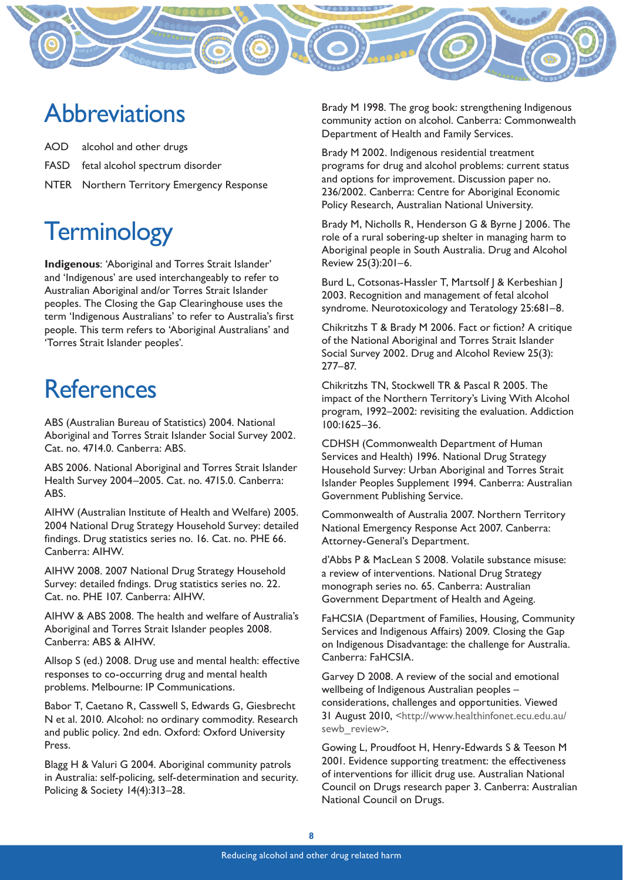

## **Abbreviations**

AOD alcohol and other drugs

- FASD fetal alcohol spectrum disorder
- NTER Northern Territory Emergency Response

# **Terminology**

**Indigenous**: 'Aboriginal and Torres Strait Islander' and 'Indigenous' are used interchangeably to refer to Australian Aboriginal and/or Torres Strait Islander peoples. The Closing the Gap Clearinghouse uses the term 'Indigenous Australians' to refer to Australia's first people. This term refers to 'Aboriginal Australians' and 'Torres Strait Islander peoples'.

# **References**

ABS (Australian Bureau of Statistics) 2004. National Aboriginal and Torres Strait Islander Social Survey 2002. Cat. no. 4714.0. Canberra: ABS.

ABS 2006. National Aboriginal and Torres Strait Islander Health Survey 2004–2005. Cat. no. 4715.0. Canberra: ABS.

AIHW (Australian Institute of Health and Welfare) 2005. 2004 National Drug Strategy Household Survey: detailed findings. Drug statistics series no. 16. Cat. no. PHE 66. Canberra: AIHW.

AIHW 2008. 2007 National Drug Strategy Household Survey: detailed fndings. Drug statistics series no. 22. Cat. no. PHE 107. Canberra: AIHW.

AIHW & ABS 2008. The health and welfare of Australia's Aboriginal and Torres Strait Islander peoples 2008. Canberra: ABS & AIHW.

Allsop S (ed.) 2008. Drug use and mental health: effective responses to co-occurring drug and mental health problems. Melbourne: IP Communications.

Babor T, Caetano R, Casswell S, Edwards G, Giesbrecht N et al. 2010. Alcohol: no ordinary commodity. Research and public policy. 2nd edn. Oxford: Oxford University Press.

Blagg H & Valuri G 2004. Aboriginal community patrols in Australia: self-policing, self-determination and security. Policing & Society 14(4):313–28.

Brady M 1998. The grog book: strengthening Indigenous community action on alcohol. Canberra: Commonwealth Department of Health and Family Services.

Brady M 2002. Indigenous residential treatment programs for drug and alcohol problems: current status and options for improvement. Discussion paper no. 236/2002. Canberra: Centre for Aboriginal Economic Policy Research, Australian National University.

Brady M, Nicholls R, Henderson G & Byrne J 2006. The role of a rural sobering-up shelter in managing harm to Aboriginal people in South Australia. Drug and Alcohol Review 25(3):201–6.

Burd L, Cotsonas-Hassler T, Martsolf | & Kerbeshian | 2003. Recognition and management of fetal alcohol syndrome. Neurotoxicology and Teratology 25:681–8.

Chikritzhs T & Brady M 2006. Fact or fiction? A critique of the National Aboriginal and Torres Strait Islander Social Survey 2002. Drug and Alcohol Review 25(3): 277–87.

Chikritzhs TN, Stockwell TR & Pascal R 2005. The impact of the Northern Territory's Living With Alcohol program, 1992–2002: revisiting the evaluation. Addiction 100:1625–36.

CDHSH (Commonwealth Department of Human Services and Health) 1996. National Drug Strategy Household Survey: Urban Aboriginal and Torres Strait Islander Peoples Supplement 1994. Canberra: Australian Government Publishing Service.

Commonwealth of Australia 2007. Northern Territory National Emergency Response Act 2007. Canberra: Attorney-General's Department.

d'Abbs P & MacLean S 2008. Volatile substance misuse: a review of interventions. National Drug Strategy monograph series no. 65. Canberra: Australian Government Department of Health and Ageing.

FaHCSIA (Department of Families, Housing, Community Services and Indigenous Affairs) 2009. Closing the Gap on Indigenous Disadvantage: the challenge for Australia. Canberra: FaHCSIA.

Garvey D 2008. A review of the social and emotional wellbeing of Indigenous Australian peoples – considerations, challenges and opportunities. Viewed 31 August 2010, <http://www.healthinfonet.ecu.edu.au/ sewb\_review>.

Gowing L, Proudfoot H, Henry-Edwards S & Teeson M 2001. Evidence supporting treatment: the effectiveness of interventions for illicit drug use. Australian National Council on Drugs research paper 3. Canberra: Australian National Council on Drugs.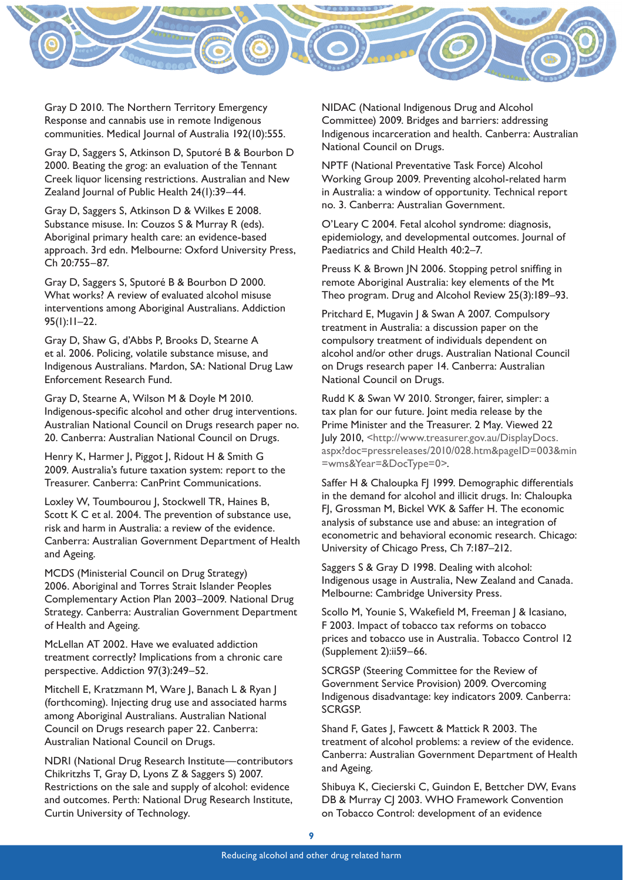

Gray D 2010. The Northern Territory Emergency Response and cannabis use in remote Indigenous communities. Medical Journal of Australia 192(10):555.

Gray D, Saggers S, Atkinson D, Sputoré B & Bourbon D 2000. Beating the grog: an evaluation of the Tennant Creek liquor licensing restrictions. Australian and New Zealand Journal of Public Health 24(1):39–44.

Gray D, Saggers S, Atkinson D & Wilkes E 2008. Substance misuse. In: Couzos S & Murray R (eds). Aboriginal primary health care: an evidence-based approach. 3rd edn. Melbourne: Oxford University Press, Ch 20:755–87.

Gray D, Saggers S, Sputoré B & Bourbon D 2000. What works? A review of evaluated alcohol misuse interventions among Aboriginal Australians. Addiction 95(1):11–22.

Gray D, Shaw G, d'Abbs P, Brooks D, Stearne A et al. 2006. Policing, volatile substance misuse, and Indigenous Australians. Mardon, SA: National Drug Law Enforcement Research Fund.

Gray D, Stearne A, Wilson M & Doyle M 2010. Indigenous-specific alcohol and other drug interventions. Australian National Council on Drugs research paper no. 20. Canberra: Australian National Council on Drugs.

Henry K, Harmer J, Piggot J, Ridout H & Smith G 2009. Australia's future taxation system: report to the Treasurer. Canberra: CanPrint Communications.

Loxley W, Toumbourou J, Stockwell TR, Haines B, Scott K C et al. 2004. The prevention of substance use, risk and harm in Australia: a review of the evidence. Canberra: Australian Government Department of Health and Ageing.

MCDS (Ministerial Council on Drug Strategy) 2006. Aboriginal and Torres Strait Islander Peoples Complementary Action Plan 2003–2009. National Drug Strategy. Canberra: Australian Government Department of Health and Ageing.

McLellan AT 2002. Have we evaluated addiction treatment correctly? Implications from a chronic care perspective. Addiction 97(3):249–52.

Mitchell E, Kratzmann M, Ware J, Banach L & Ryan J (forthcoming). Injecting drug use and associated harms among Aboriginal Australians. Australian National Council on Drugs research paper 22. Canberra: Australian National Council on Drugs.

NDRI (National Drug Research Institute—contributors Chikritzhs T, Gray D, Lyons Z & Saggers S) 2007. Restrictions on the sale and supply of alcohol: evidence and outcomes. Perth: National Drug Research Institute, Curtin University of Technology.

NIDAC (National Indigenous Drug and Alcohol Committee) 2009. Bridges and barriers: addressing Indigenous incarceration and health. Canberra: Australian National Council on Drugs.

NPTF (National Preventative Task Force) Alcohol Working Group 2009. Preventing alcohol-related harm in Australia: a window of opportunity. Technical report no. 3. Canberra: Australian Government.

O'Leary C 2004. Fetal alcohol syndrome: diagnosis, epidemiology, and developmental outcomes. Journal of Paediatrics and Child Health 40:2–7.

Preuss K & Brown JN 2006. Stopping petrol sniffing in remote Aboriginal Australia: key elements of the Mt Theo program. Drug and Alcohol Review 25(3):189–93.

Pritchard E, Mugavin J & Swan A 2007. Compulsory treatment in Australia: a discussion paper on the compulsory treatment of individuals dependent on alcohol and/or other drugs. Australian National Council on Drugs research paper 14. Canberra: Australian National Council on Drugs.

Rudd K & Swan W 2010. Stronger, fairer, simpler: a tax plan for our future. Joint media release by the Prime Minister and the Treasurer. 2 May. Viewed 22 July 2010, <http://www.treasurer.gov.au/DisplayDocs. aspx?doc=pressreleases/2010/028.htm&pageID=003&min =wms&Year=&DocType=0>.

Saffer H & Chaloupka F| 1999. Demographic differentials in the demand for alcohol and illicit drugs. In: Chaloupka FJ, Grossman M, Bickel WK & Saffer H. The economic analysis of substance use and abuse: an integration of econometric and behavioral economic research. Chicago: University of Chicago Press, Ch 7:187–212.

Saggers S & Gray D 1998. Dealing with alcohol: Indigenous usage in Australia, New Zealand and Canada. Melbourne: Cambridge University Press.

Scollo M, Younie S, Wakefield M, Freeman | & Icasiano, F 2003. Impact of tobacco tax reforms on tobacco prices and tobacco use in Australia. Tobacco Control 12 (Supplement 2):ii59–66.

SCRGSP (Steering Committee for the Review of Government Service Provision) 2009. Overcoming Indigenous disadvantage: key indicators 2009. Canberra: SCRGSP.

Shand F, Gates J, Fawcett & Mattick R 2003. The treatment of alcohol problems: a review of the evidence. Canberra: Australian Government Department of Health and Ageing.

Shibuya K, Ciecierski C, Guindon E, Bettcher DW, Evans DB & Murray CJ 2003. WHO Framework Convention on Tobacco Control: development of an evidence